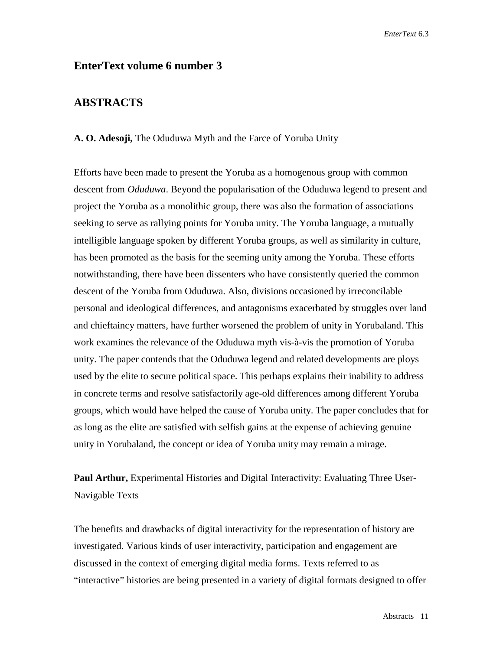## **EnterText volume 6 number 3**

# **ABSTRACTS**

### **A. O. Adesoji,** The Oduduwa Myth and the Farce of Yoruba Unity

Efforts have been made to present the Yoruba as a homogenous group with common descent from *Oduduwa*. Beyond the popularisation of the Oduduwa legend to present and project the Yoruba as a monolithic group, there was also the formation of associations seeking to serve as rallying points for Yoruba unity. The Yoruba language, a mutually intelligible language spoken by different Yoruba groups, as well as similarity in culture, has been promoted as the basis for the seeming unity among the Yoruba. These efforts notwithstanding, there have been dissenters who have consistently queried the common descent of the Yoruba from Oduduwa. Also, divisions occasioned by irreconcilable personal and ideological differences, and antagonisms exacerbated by struggles over land and chieftaincy matters, have further worsened the problem of unity in Yorubaland. This work examines the relevance of the Oduduwa myth vis-à-vis the promotion of Yoruba unity. The paper contends that the Oduduwa legend and related developments are ploys used by the elite to secure political space. This perhaps explains their inability to address in concrete terms and resolve satisfactorily age-old differences among different Yoruba groups, which would have helped the cause of Yoruba unity. The paper concludes that for as long as the elite are satisfied with selfish gains at the expense of achieving genuine unity in Yorubaland, the concept or idea of Yoruba unity may remain a mirage.

**Paul Arthur,** Experimental Histories and Digital Interactivity: Evaluating Three User-Navigable Texts

The benefits and drawbacks of digital interactivity for the representation of history are investigated. Various kinds of user interactivity, participation and engagement are discussed in the context of emerging digital media forms. Texts referred to as "interactive" histories are being presented in a variety of digital formats designed to offer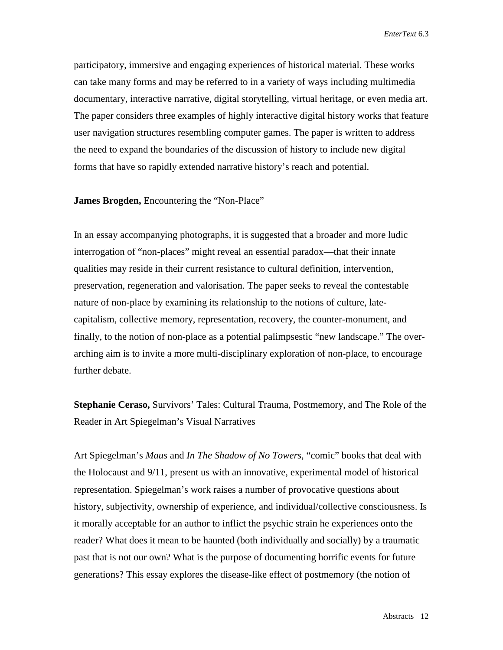participatory, immersive and engaging experiences of historical material. These works can take many forms and may be referred to in a variety of ways including multimedia documentary, interactive narrative, digital storytelling, virtual heritage, or even media art. The paper considers three examples of highly interactive digital history works that feature user navigation structures resembling computer games. The paper is written to address the need to expand the boundaries of the discussion of history to include new digital forms that have so rapidly extended narrative history's reach and potential.

**James Brogden,** Encountering the "Non-Place"

In an essay accompanying photographs, it is suggested that a broader and more ludic interrogation of "non-places" might reveal an essential paradox—that their innate qualities may reside in their current resistance to cultural definition, intervention, preservation, regeneration and valorisation. The paper seeks to reveal the contestable nature of non-place by examining its relationship to the notions of culture, latecapitalism, collective memory, representation, recovery, the counter-monument, and finally, to the notion of non-place as a potential palimpsestic "new landscape." The overarching aim is to invite a more multi-disciplinary exploration of non-place, to encourage further debate.

**Stephanie Ceraso,** Survivors' Tales: Cultural Trauma, Postmemory, and The Role of the Reader in Art Spiegelman's Visual Narratives

Art Spiegelman's *Maus* and *In The Shadow of No Towers*, "comic" books that deal with the Holocaust and 9/11, present us with an innovative, experimental model of historical representation. Spiegelman's work raises a number of provocative questions about history, subjectivity, ownership of experience, and individual/collective consciousness. Is it morally acceptable for an author to inflict the psychic strain he experiences onto the reader? What does it mean to be haunted (both individually and socially) by a traumatic past that is not our own? What is the purpose of documenting horrific events for future generations? This essay explores the disease-like effect of postmemory (the notion of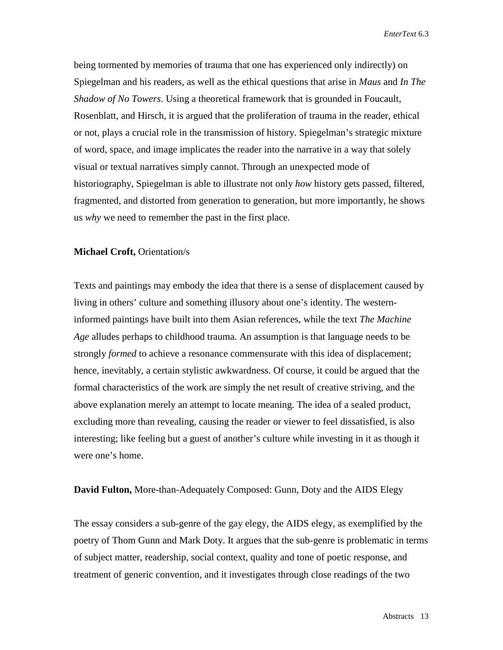being tormented by memories of trauma that one has experienced only indirectly) on Spiegelman and his readers, as well as the ethical questions that arise in *Maus* and *In The Shadow of No Towers*. Using a theoretical framework that is grounded in Foucault, Rosenblatt, and Hirsch, it is argued that the proliferation of trauma in the reader, ethical or not, plays a crucial role in the transmission of history. Spiegelman's strategic mixture of word, space, and image implicates the reader into the narrative in a way that solely visual or textual narratives simply cannot. Through an unexpected mode of historiography, Spiegelman is able to illustrate not only *how* history gets passed, filtered, fragmented, and distorted from generation to generation, but more importantly, he shows us *why* we need to remember the past in the first place.

#### **Michael Croft,** Orientation/s

Texts and paintings may embody the idea that there is a sense of displacement caused by living in others' culture and something illusory about one's identity. The westerninformed paintings have built into them Asian references, while the text *The Machine Age* alludes perhaps to childhood trauma. An assumption is that language needs to be strongly *formed* to achieve a resonance commensurate with this idea of displacement; hence, inevitably, a certain stylistic awkwardness. Of course, it could be argued that the formal characteristics of the work are simply the net result of creative striving, and the above explanation merely an attempt to locate meaning. The idea of a sealed product, excluding more than revealing, causing the reader or viewer to feel dissatisfied, is also interesting; like feeling but a guest of another's culture while investing in it as though it were one's home.

### **David Fulton,** More-than-Adequately Composed: Gunn, Doty and the AIDS Elegy

The essay considers a sub-genre of the gay elegy, the AIDS elegy, as exemplified by the poetry of Thom Gunn and Mark Doty. It argues that the sub-genre is problematic in terms of subject matter, readership, social context, quality and tone of poetic response, and treatment of generic convention, and it investigates through close readings of the two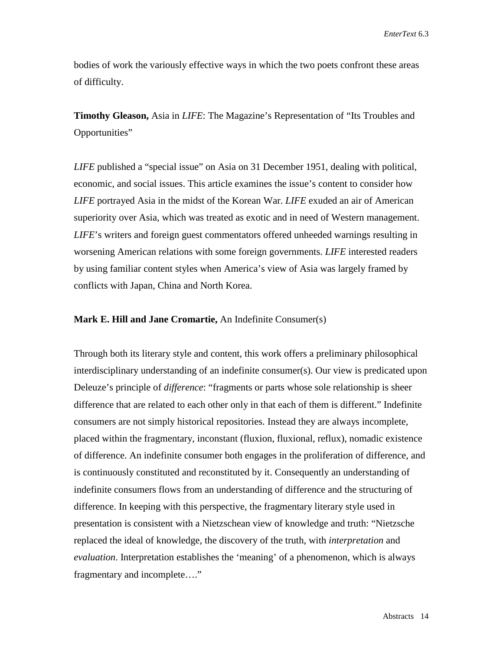bodies of work the variously effective ways in which the two poets confront these areas of difficulty.

**Timothy Gleason,** Asia in *LIFE*: The Magazine's Representation of "Its Troubles and Opportunities"

*LIFE* published a "special issue" on Asia on 31 December 1951, dealing with political, economic, and social issues. This article examines the issue's content to consider how *LIFE* portrayed Asia in the midst of the Korean War. *LIFE* exuded an air of American superiority over Asia, which was treated as exotic and in need of Western management. *LIFE*'s writers and foreign guest commentators offered unheeded warnings resulting in worsening American relations with some foreign governments. *LIFE* interested readers by using familiar content styles when America's view of Asia was largely framed by conflicts with Japan, China and North Korea.

### **Mark E. Hill and Jane Cromartie,** An Indefinite Consumer(s)

Through both its literary style and content, this work offers a preliminary philosophical interdisciplinary understanding of an indefinite consumer(s). Our view is predicated upon Deleuze's principle of *difference*: "fragments or parts whose sole relationship is sheer difference that are related to each other only in that each of them is different." Indefinite consumers are not simply historical repositories. Instead they are always incomplete, placed within the fragmentary, inconstant (fluxion, fluxional, reflux), nomadic existence of difference. An indefinite consumer both engages in the proliferation of difference, and is continuously constituted and reconstituted by it. Consequently an understanding of indefinite consumers flows from an understanding of difference and the structuring of difference. In keeping with this perspective, the fragmentary literary style used in presentation is consistent with a Nietzschean view of knowledge and truth: "Nietzsche replaced the ideal of knowledge, the discovery of the truth, with *interpretation* and *evaluation*. Interpretation establishes the 'meaning' of a phenomenon, which is always fragmentary and incomplete…."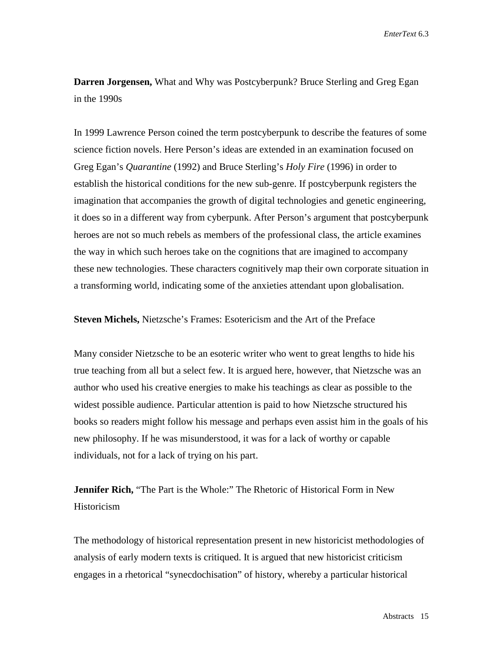**Darren Jorgensen,** What and Why was Postcyberpunk? Bruce Sterling and Greg Egan in the 1990s

In 1999 Lawrence Person coined the term postcyberpunk to describe the features of some science fiction novels. Here Person's ideas are extended in an examination focused on Greg Egan's *Quarantine* (1992) and Bruce Sterling's *Holy Fire* (1996) in order to establish the historical conditions for the new sub-genre. If postcyberpunk registers the imagination that accompanies the growth of digital technologies and genetic engineering, it does so in a different way from cyberpunk. After Person's argument that postcyberpunk heroes are not so much rebels as members of the professional class, the article examines the way in which such heroes take on the cognitions that are imagined to accompany these new technologies. These characters cognitively map their own corporate situation in a transforming world, indicating some of the anxieties attendant upon globalisation.

**Steven Michels,** Nietzsche's Frames: Esotericism and the Art of the Preface

Many consider Nietzsche to be an esoteric writer who went to great lengths to hide his true teaching from all but a select few. It is argued here, however, that Nietzsche was an author who used his creative energies to make his teachings as clear as possible to the widest possible audience. Particular attention is paid to how Nietzsche structured his books so readers might follow his message and perhaps even assist him in the goals of his new philosophy. If he was misunderstood, it was for a lack of worthy or capable individuals, not for a lack of trying on his part.

**Jennifer Rich,** "The Part is the Whole:" The Rhetoric of Historical Form in New **Historicism** 

The methodology of historical representation present in new historicist methodologies of analysis of early modern texts is critiqued. It is argued that new historicist criticism engages in a rhetorical "synecdochisation" of history, whereby a particular historical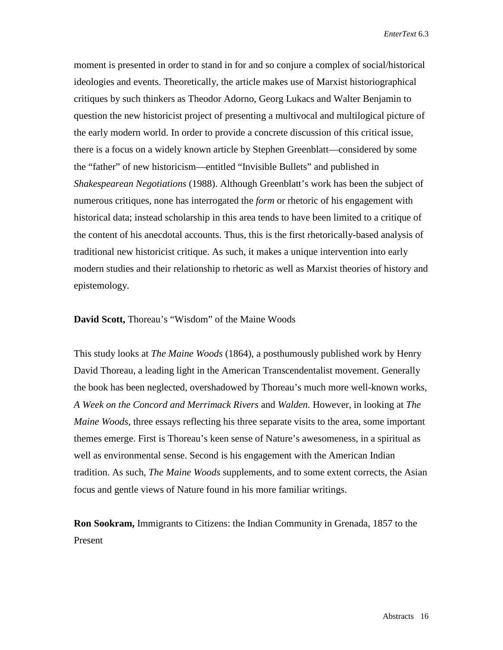moment is presented in order to stand in for and so conjure a complex of social/historical ideologies and events. Theoretically, the article makes use of Marxist historiographical critiques by such thinkers as Theodor Adorno, Georg Lukacs and Walter Benjamin to question the new historicist project of presenting a multivocal and multilogical picture of the early modern world. In order to provide a concrete discussion of this critical issue, there is a focus on a widely known article by Stephen Greenblatt—considered by some the "father" of new historicism—entitled "Invisible Bullets" and published in *Shakespearean Negotiations* (1988). Although Greenblatt's work has been the subject of numerous critiques, none has interrogated the *form* or rhetoric of his engagement with historical data; instead scholarship in this area tends to have been limited to a critique of the content of his anecdotal accounts. Thus, this is the first rhetorically-based analysis of traditional new historicist critique. As such, it makes a unique intervention into early modern studies and their relationship to rhetoric as well as Marxist theories of history and epistemology.

**David Scott,** Thoreau's "Wisdom" of the Maine Woods

This study looks at *The Maine Woods* (1864), a posthumously published work by Henry David Thoreau, a leading light in the American Transcendentalist movement. Generally the book has been neglected, overshadowed by Thoreau's much more well-known works, *A Week on the Concord and Merrimack Rivers* and *Walden.* However, in looking at *The Maine Woods,* three essays reflecting his three separate visits to the area, some important themes emerge. First is Thoreau's keen sense of Nature's awesomeness, in a spiritual as well as environmental sense. Second is his engagement with the American Indian tradition. As such, *The Maine Woods* supplements, and to some extent corrects, the Asian focus and gentle views of Nature found in his more familiar writings.

**Ron Sookram,** Immigrants to Citizens: the Indian Community in Grenada, 1857 to the Present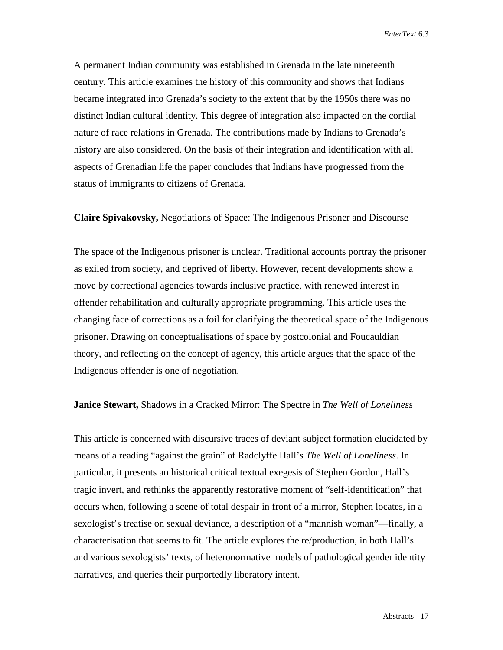A permanent Indian community was established in Grenada in the late nineteenth century. This article examines the history of this community and shows that Indians became integrated into Grenada's society to the extent that by the 1950s there was no distinct Indian cultural identity. This degree of integration also impacted on the cordial nature of race relations in Grenada. The contributions made by Indians to Grenada's history are also considered. On the basis of their integration and identification with all aspects of Grenadian life the paper concludes that Indians have progressed from the status of immigrants to citizens of Grenada.

## **Claire Spivakovsky,** Negotiations of Space: The Indigenous Prisoner and Discourse

The space of the Indigenous prisoner is unclear. Traditional accounts portray the prisoner as exiled from society, and deprived of liberty. However, recent developments show a move by correctional agencies towards inclusive practice, with renewed interest in offender rehabilitation and culturally appropriate programming. This article uses the changing face of corrections as a foil for clarifying the theoretical space of the Indigenous prisoner. Drawing on conceptualisations of space by postcolonial and Foucauldian theory, and reflecting on the concept of agency, this article argues that the space of the Indigenous offender is one of negotiation.

#### **Janice Stewart,** Shadows in a Cracked Mirror: The Spectre in *The Well of Loneliness*

This article is concerned with discursive traces of deviant subject formation elucidated by means of a reading "against the grain" of Radclyffe Hall's *The Well of Loneliness*. In particular, it presents an historical critical textual exegesis of Stephen Gordon, Hall's tragic invert, and rethinks the apparently restorative moment of "self-identification" that occurs when, following a scene of total despair in front of a mirror, Stephen locates, in a sexologist's treatise on sexual deviance, a description of a "mannish woman"—finally, a characterisation that seems to fit. The article explores the re/production, in both Hall's and various sexologists' texts, of heteronormative models of pathological gender identity narratives, and queries their purportedly liberatory intent.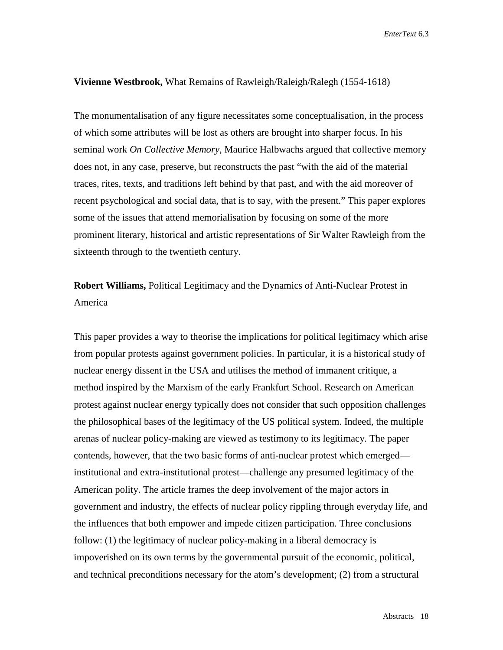#### **Vivienne Westbrook,** What Remains of Rawleigh/Raleigh/Ralegh (1554-1618)

The monumentalisation of any figure necessitates some conceptualisation, in the process of which some attributes will be lost as others are brought into sharper focus. In his seminal work *On Collective Memory*, Maurice Halbwachs argued that collective memory does not, in any case, preserve, but reconstructs the past "with the aid of the material traces, rites, texts, and traditions left behind by that past, and with the aid moreover of recent psychological and social data, that is to say, with the present." This paper explores some of the issues that attend memorialisation by focusing on some of the more prominent literary, historical and artistic representations of Sir Walter Rawleigh from the sixteenth through to the twentieth century.

# **Robert Williams,** Political Legitimacy and the Dynamics of Anti-Nuclear Protest in America

This paper provides a way to theorise the implications for political legitimacy which arise from popular protests against government policies. In particular, it is a historical study of nuclear energy dissent in the USA and utilises the method of immanent critique, a method inspired by the Marxism of the early Frankfurt School. Research on American protest against nuclear energy typically does not consider that such opposition challenges the philosophical bases of the legitimacy of the US political system. Indeed, the multiple arenas of nuclear policy-making are viewed as testimony to its legitimacy. The paper contends, however, that the two basic forms of anti-nuclear protest which emerged institutional and extra-institutional protest—challenge any presumed legitimacy of the American polity. The article frames the deep involvement of the major actors in government and industry, the effects of nuclear policy rippling through everyday life, and the influences that both empower and impede citizen participation. Three conclusions follow: (1) the legitimacy of nuclear policy-making in a liberal democracy is impoverished on its own terms by the governmental pursuit of the economic, political, and technical preconditions necessary for the atom's development; (2) from a structural